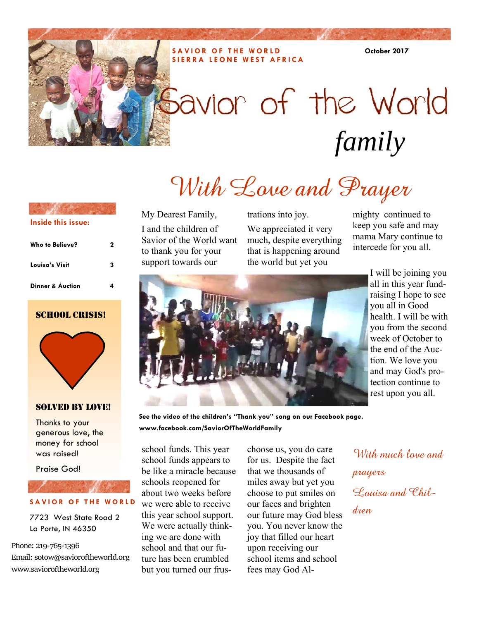#### **SAVIOR OF THE WORLD SIERRA LEONE WEST AFRICA**

**October 2017** 

# Savior of the World *family*

# With Love and Prayer

My Dearest Family, I and the children of Savior of the World want to thank you for your support towards our

trations into joy.

We appreciated it very much, despite everything that is happening around the world but yet you

mighty continued to keep you safe and may mama Mary continue to intercede for you all.



I will be joining you all in this year fundraising I hope to see you all in Good health. I will be with you from the second week of October to the end of the Auction. We love you and may God's protection continue to rest upon you all.

**See the video of the children's "Thank you" song on our Facebook page. www.facebook.com/SaviorOfTheWorldFamily** 

school funds. This year school funds appears to be like a miracle because schools reopened for about two weeks before we were able to receive this year school support. We were actually thinking we are done with school and that our future has been crumbled but you turned our frus-

choose us, you do care for us. Despite the fact that we thousands of miles away but yet you choose to put smiles on our faces and brighten our future may God bless you. You never know the joy that filled our heart upon receiving our school items and school fees may God Al-

With much love and prayers Louisa and Children

### **Inside this issue:**

| Who to Believe?             | 2 |
|-----------------------------|---|
| Louisa's Visit              | 3 |
| <b>Dinner &amp; Auction</b> |   |

#### SCHOOL CRISIS!



#### SOLVED BY LOVE!

Thanks to your generous love, the money for school was raised!

Praise God!

#### **SAVIOR OF THE WORLD**

7723 West State Road 2 La Porte, IN 46350

Phone: 219‐765‐1396 Email: sotow@savioroftheworld.org www.savioroftheworld.org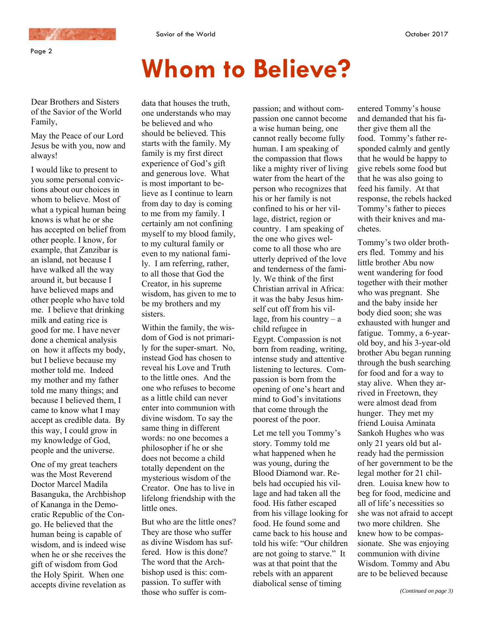

Page 2

## **Whom to Believe?**

Dear Brothers and Sisters of the Savior of the World Family,

May the Peace of our Lord Jesus be with you, now and always!

I would like to present to you some personal convictions about our choices in whom to believe. Most of what a typical human being knows is what he or she has accepted on belief from other people. I know, for example, that Zanzibar is an island, not because I have walked all the way around it, but because I have believed maps and other people who have told me. I believe that drinking milk and eating rice is good for me. I have never done a chemical analysis on how it affects my body, but I believe because my mother told me. Indeed my mother and my father told me many things; and because I believed them, I came to know what I may accept as credible data. By this way, I could grow in my knowledge of God, people and the universe.

One of my great teachers was the Most Reverend Doctor Marcel Madila Basanguka, the Archbishop of Kananga in the Democratic Republic of the Congo. He believed that the human being is capable of wisdom, and is indeed wise when he or she receives the gift of wisdom from God the Holy Spirit. When one accepts divine revelation as

data that houses the truth, one understands who may be believed and who should be believed. This starts with the family. My family is my first direct experience of God's gift and generous love. What is most important to believe as I continue to learn from day to day is coming to me from my family. I certainly am not confining myself to my blood family, to my cultural family or even to my national family. I am referring, rather, to all those that God the Creator, in his supreme wisdom, has given to me to be my brothers and my sisters.

Within the family, the wisdom of God is not primarily for the super-smart. No, instead God has chosen to reveal his Love and Truth to the little ones. And the one who refuses to become as a little child can never enter into communion with divine wisdom. To say the same thing in different words: no one becomes a philosopher if he or she does not become a child totally dependent on the mysterious wisdom of the Creator. One has to live in lifelong friendship with the little ones.

But who are the little ones? They are those who suffer as divine Wisdom has suffered. How is this done? The word that the Archbishop used is this: compassion. To suffer with those who suffer is compassion; and without compassion one cannot become a wise human being, one cannot really become fully human. I am speaking of the compassion that flows like a mighty river of living water from the heart of the person who recognizes that his or her family is not confined to his or her village, district, region or country. I am speaking of the one who gives welcome to all those who are utterly deprived of the love and tenderness of the family. We think of the first Christian arrival in Africa: it was the baby Jesus himself cut off from his village, from his country  $- a$ child refugee in Egypt. Compassion is not born from reading, writing, intense study and attentive listening to lectures. Compassion is born from the opening of one's heart and mind to God's invitations that come through the poorest of the poor.

Let me tell you Tommy's story. Tommy told me what happened when he was young, during the Blood Diamond war. Rebels had occupied his village and had taken all the food. His father escaped from his village looking for food. He found some and came back to his house and told his wife: "Our children are not going to starve." It was at that point that the rebels with an apparent diabolical sense of timing

entered Tommy's house and demanded that his father give them all the food. Tommy's father responded calmly and gently that he would be happy to give rebels some food but that he was also going to feed his family. At that response, the rebels hacked Tommy's father to pieces with their knives and machetes.

Tommy's two older brothers fled. Tommy and his little brother Abu now went wandering for food together with their mother who was pregnant. She and the baby inside her body died soon; she was exhausted with hunger and fatigue. Tommy, a 6-yearold boy, and his 3-year-old brother Abu began running through the bush searching for food and for a way to stay alive. When they arrived in Freetown, they were almost dead from hunger. They met my friend Louisa Aminata Sankoh Hughes who was only 21 years old but already had the permission of her government to be the legal mother for 21 children. Louisa knew how to beg for food, medicine and all of life's necessities so she was not afraid to accept two more children. She knew how to be compassionate. She was enjoying communion with divine Wisdom. Tommy and Abu are to be believed because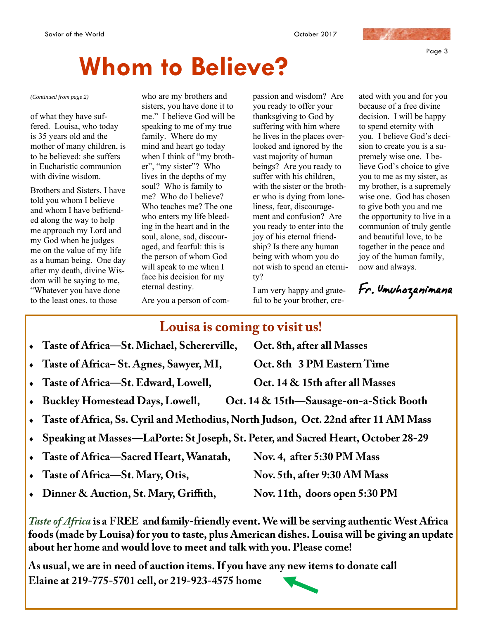Page 3

## **Whom to Believe?**

of what they have suffered. Louisa, who today is 35 years old and the mother of many children, is to be believed: she suffers in Eucharistic communion with divine wisdom.

Brothers and Sisters, I have told you whom I believe and whom I have befriended along the way to help me approach my Lord and my God when he judges me on the value of my life as a human being. One day after my death, divine Wisdom will be saying to me, "Whatever you have done to the least ones, to those

*(Continued from page 2)* who are my brothers and sisters, you have done it to me." I believe God will be speaking to me of my true family. Where do my mind and heart go today when I think of "my brother", "my sister"? Who lives in the depths of my soul? Who is family to me? Who do I believe? Who teaches me? The one who enters my life bleeding in the heart and in the soul, alone, sad, discouraged, and fearful: this is the person of whom God will speak to me when I face his decision for my eternal destiny.

passion and wisdom? Are you ready to offer your thanksgiving to God by suffering with him where he lives in the places overlooked and ignored by the vast majority of human beings? Are you ready to suffer with his children, with the sister or the brother who is dying from loneliness, fear, discouragement and confusion? Are you ready to enter into the joy of his eternal friendship? Is there any human being with whom you do not wish to spend an eternity?

I am very happy and grateful to be your brother, cre-

ated with you and for you because of a free divine decision. I will be happy to spend eternity with you. I believe God's decision to create you is a supremely wise one. I believe God's choice to give you to me as my sister, as my brother, is a supremely wise one. God has chosen to give both you and me the opportunity to live in a communion of truly gentle and beautiful love, to be together in the peace and joy of the human family, now and always.

Fr. Umuhozanimana

Are you a person of com-

### **Louisa is coming to visit us!**

 **Taste of Africa—St. Michael, Schererville, Oct. 8th, after all Masses Taste of Africa– St. Agnes, Sawyer, MI, Oct. 8th 3 PM Eastern Time**  Taste of Africa—St. Edward, Lowell, **Oct. 14 & 15th after all Masses Buckley Homestead Days, Lowell, Oct. 14 & 15th—Sausage-on-a-Stick Booth Taste of Africa, Ss. Cyril and Methodius, North Judson, Oct. 22nd after 11 AM Mass Speaking at Masses—LaPorte: St Joseph, St. Peter, and Sacred Heart, October 28-29 Taste of Africa—Sacred Heart, Wanatah, Nov. 4, after 5:30 PM Mass**  Taste of Africa—St. Mary, Otis, Nov. 5th, after 9:30 AM Mass • Dinner & Auction, St. Mary, Griffith, Nov. 11th, doors open 5:30 PM

*Taste of Africa* **is a FREE and family-friendly event. We will be serving authentic West Africa foods (made by Louisa) for you to taste, plus American dishes. Louisa will be giving an update about her home and would love to meet and talk with you. Please come!** 

**As usual, we are in need of auction items. If you have any new items to donate call Elaine at 219-775-5701 cell, or 219-923-4575 home**